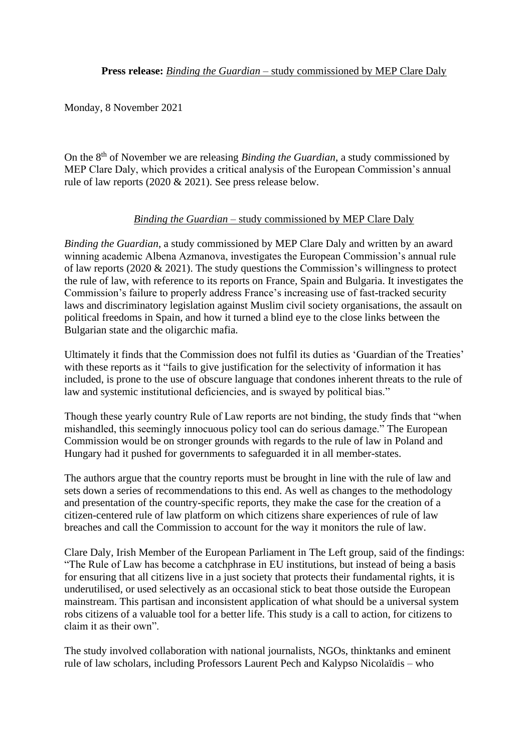Monday, 8 November 2021

On the 8th of November we are releasing *Binding the Guardian*, a study commissioned by MEP Clare Daly, which provides a critical analysis of the European Commission's annual rule of law reports (2020 & 2021). See press release below.

## *Binding the Guardian* – study commissioned by MEP Clare Daly

*Binding the Guardian*, a study commissioned by MEP Clare Daly and written by an award winning academic Albena Azmanova, investigates the European Commission's annual rule of law reports (2020 & 2021). The study questions the Commission's willingness to protect the rule of law, with reference to its reports on France, Spain and Bulgaria. It investigates the Commission's failure to properly address France's increasing use of fast-tracked security laws and discriminatory legislation against Muslim civil society organisations, the assault on political freedoms in Spain, and how it turned a blind eye to the close links between the Bulgarian state and the oligarchic mafia.

Ultimately it finds that the Commission does not fulfil its duties as 'Guardian of the Treaties' with these reports as it "fails to give justification for the selectivity of information it has included, is prone to the use of obscure language that condones inherent threats to the rule of law and systemic institutional deficiencies, and is swayed by political bias."

Though these yearly country Rule of Law reports are not binding, the study finds that "when mishandled, this seemingly innocuous policy tool can do serious damage." The European Commission would be on stronger grounds with regards to the rule of law in Poland and Hungary had it pushed for governments to safeguarded it in all member-states.

The authors argue that the country reports must be brought in line with the rule of law and sets down a series of recommendations to this end. As well as changes to the methodology and presentation of the country-specific reports, they make the case for the creation of a citizen-centered rule of law platform on which citizens share experiences of rule of law breaches and call the Commission to account for the way it monitors the rule of law.

Clare Daly, Irish Member of the European Parliament in The Left group, said of the findings: "The Rule of Law has become a catchphrase in EU institutions, but instead of being a basis for ensuring that all citizens live in a just society that protects their fundamental rights, it is underutilised, or used selectively as an occasional stick to beat those outside the European mainstream. This partisan and inconsistent application of what should be a universal system robs citizens of a valuable tool for a better life. This study is a call to action, for citizens to claim it as their own".

The study involved collaboration with national journalists, NGOs, thinktanks and eminent rule of law scholars, including Professors Laurent Pech and Kalypso Nicolaïdis – who